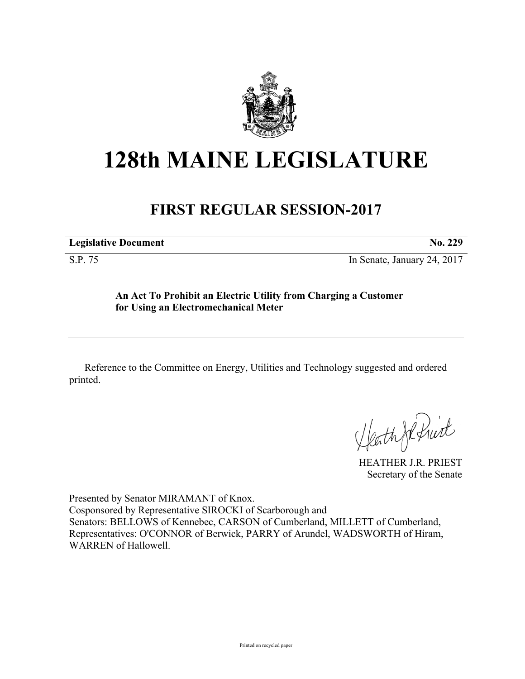

# **128th MAINE LEGISLATURE**

## **FIRST REGULAR SESSION-2017**

| <b>Legislative Document</b> | No |
|-----------------------------|----|
|-----------------------------|----|

S.P. 75 In Senate, January 24, 2017

### **An Act To Prohibit an Electric Utility from Charging a Customer for Using an Electromechanical Meter**

Reference to the Committee on Energy, Utilities and Technology suggested and ordered printed.

Heath JR Print

HEATHER J.R. PRIEST Secretary of the Senate

Presented by Senator MIRAMANT of Knox. Cosponsored by Representative SIROCKI of Scarborough and Senators: BELLOWS of Kennebec, CARSON of Cumberland, MILLETT of Cumberland, Representatives: O'CONNOR of Berwick, PARRY of Arundel, WADSWORTH of Hiram, WARREN of Hallowell.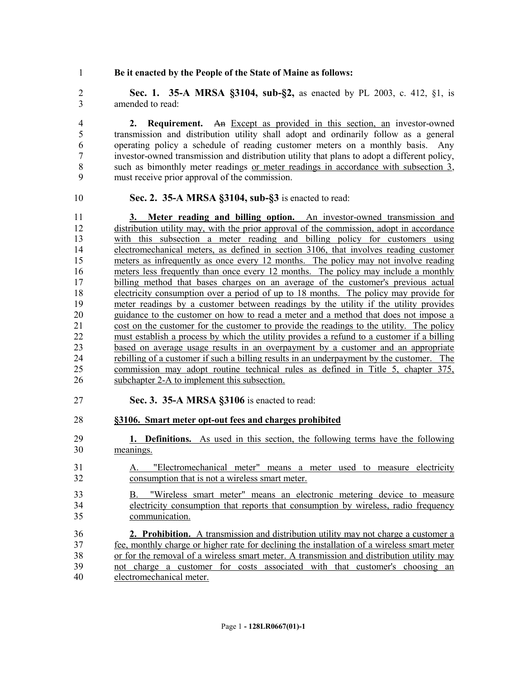#### **Be it enacted by the People of the State of Maine as follows:**

 **Sec. 1. 35-A MRSA §3104, sub-§2,** as enacted by PL 2003, c. 412, §1, is amended to read:

 **2. Requirement.** An Except as provided in this section, an investor-owned transmission and distribution utility shall adopt and ordinarily follow as a general operating policy a schedule of reading customer meters on a monthly basis. Any investor-owned transmission and distribution utility that plans to adopt a different policy, such as bimonthly meter readings or meter readings in accordance with subsection 3, must receive prior approval of the commission.

#### **Sec. 2. 35-A MRSA §3104, sub-§3** is enacted to read:

 **3. Meter reading and billing option.** An investor-owned transmission and 12 distribution utility may, with the prior approval of the commission, adopt in accordance with this subsection a meter reading and billing policy for customers using electromechanical meters, as defined in section 3106, that involves reading customer meters as infrequently as once every 12 months. The policy may not involve reading 16 meters less frequently than once every 12 months. The policy may include a monthly billing method that bases charges on an average of the customer's previous actual electricity consumption over a period of up to 18 months. The policy may provide for meter readings by a customer between readings by the utility if the utility provides 20 guidance to the customer on how to read a meter and a method that does not impose a cost on the customer for the customer to provide the readings to the utility. The policy cost on the customer for the customer to provide the readings to the utility. The policy must establish a process by which the utility provides a refund to a customer if a billing based on average usage results in an overpayment by a customer and an appropriate rebilling of a customer if such a billing results in an underpayment by the customer. The commission may adopt routine technical rules as defined in Title 5, chapter 375, subchapter 2-A to implement this subsection.

**Sec. 3. 35-A MRSA §3106** is enacted to read:

#### **§3106. Smart meter opt-out fees and charges prohibited**

- **1. Definitions.** As used in this section, the following terms have the following meanings.
- A. "Electromechanical meter" means a meter used to measure electricity consumption that is not a wireless smart meter.
- B. "Wireless smart meter" means an electronic metering device to measure electricity consumption that reports that consumption by wireless, radio frequency communication.
- **2. Prohibition.** A transmission and distribution utility may not charge a customer a fee, monthly charge or higher rate for declining the installation of a wireless smart meter or for the removal of a wireless smart meter. A transmission and distribution utility may not charge a customer for costs associated with that customer's choosing an electromechanical meter.